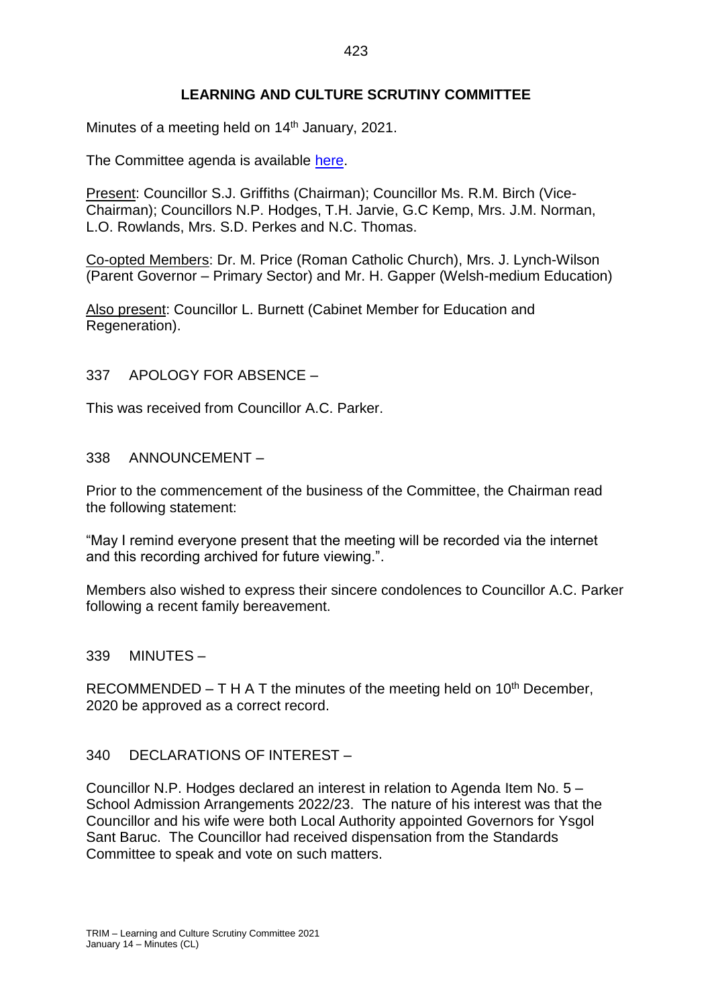## **LEARNING AND CULTURE SCRUTINY COMMITTEE**

Minutes of a meeting held on 14<sup>th</sup> January, 2021.

The Committee agenda is available [here.](https://www.valeofglamorgan.gov.uk/en/our_council/Council-Structure/minutes,_agendas_and_reports/agendas/Scrutiny-LC/2021/21-01-14.aspx)

Present: Councillor S.J. Griffiths (Chairman); Councillor Ms. R.M. Birch (Vice-Chairman); Councillors N.P. Hodges, T.H. Jarvie, G.C Kemp, Mrs. J.M. Norman, L.O. Rowlands, Mrs. S.D. Perkes and N.C. Thomas.

Co-opted Members: Dr. M. Price (Roman Catholic Church), Mrs. J. Lynch-Wilson (Parent Governor – Primary Sector) and Mr. H. Gapper (Welsh-medium Education)

Also present: Councillor L. Burnett (Cabinet Member for Education and Regeneration).

#### 337 APOLOGY FOR ABSENCE –

This was received from Councillor A.C. Parker.

#### 338 ANNOUNCEMENT –

Prior to the commencement of the business of the Committee, the Chairman read the following statement:

"May I remind everyone present that the meeting will be recorded via the internet and this recording archived for future viewing.".

Members also wished to express their sincere condolences to Councillor A.C. Parker following a recent family bereavement.

339 MINUTES –

RECOMMENDED – T H A T the minutes of the meeting held on  $10<sup>th</sup>$  December, 2020 be approved as a correct record.

#### 340 DECLARATIONS OF INTEREST –

Councillor N.P. Hodges declared an interest in relation to Agenda Item No. 5 – School Admission Arrangements 2022/23. The nature of his interest was that the Councillor and his wife were both Local Authority appointed Governors for Ysgol Sant Baruc. The Councillor had received dispensation from the Standards Committee to speak and vote on such matters.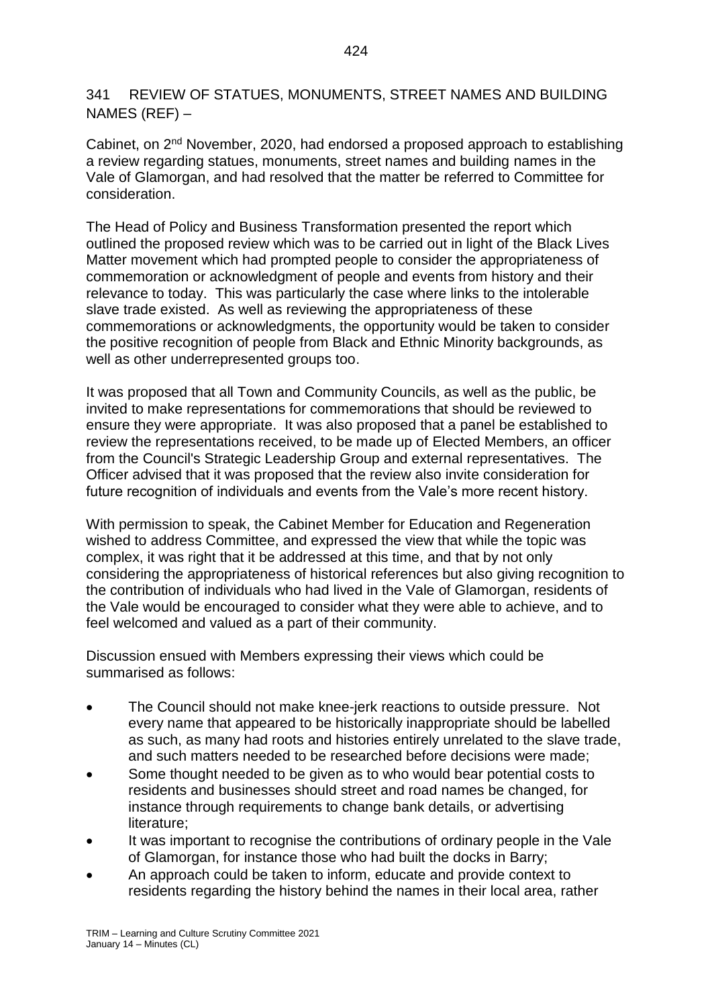341 REVIEW OF STATUES, MONUMENTS, STREET NAMES AND BUILDING NAMES (REF) –

Cabinet, on 2nd November, 2020, had endorsed a proposed approach to establishing a review regarding statues, monuments, street names and building names in the Vale of Glamorgan, and had resolved that the matter be referred to Committee for consideration.

The Head of Policy and Business Transformation presented the report which outlined the proposed review which was to be carried out in light of the Black Lives Matter movement which had prompted people to consider the appropriateness of commemoration or acknowledgment of people and events from history and their relevance to today. This was particularly the case where links to the intolerable slave trade existed. As well as reviewing the appropriateness of these commemorations or acknowledgments, the opportunity would be taken to consider the positive recognition of people from Black and Ethnic Minority backgrounds, as well as other underrepresented groups too.

It was proposed that all Town and Community Councils, as well as the public, be invited to make representations for commemorations that should be reviewed to ensure they were appropriate. It was also proposed that a panel be established to review the representations received, to be made up of Elected Members, an officer from the Council's Strategic Leadership Group and external representatives. The Officer advised that it was proposed that the review also invite consideration for future recognition of individuals and events from the Vale's more recent history.

With permission to speak, the Cabinet Member for Education and Regeneration wished to address Committee, and expressed the view that while the topic was complex, it was right that it be addressed at this time, and that by not only considering the appropriateness of historical references but also giving recognition to the contribution of individuals who had lived in the Vale of Glamorgan, residents of the Vale would be encouraged to consider what they were able to achieve, and to feel welcomed and valued as a part of their community.

Discussion ensued with Members expressing their views which could be summarised as follows:

- The Council should not make knee-jerk reactions to outside pressure. Not every name that appeared to be historically inappropriate should be labelled as such, as many had roots and histories entirely unrelated to the slave trade, and such matters needed to be researched before decisions were made;
- Some thought needed to be given as to who would bear potential costs to residents and businesses should street and road names be changed, for instance through requirements to change bank details, or advertising literature;
- It was important to recognise the contributions of ordinary people in the Vale of Glamorgan, for instance those who had built the docks in Barry;
- An approach could be taken to inform, educate and provide context to residents regarding the history behind the names in their local area, rather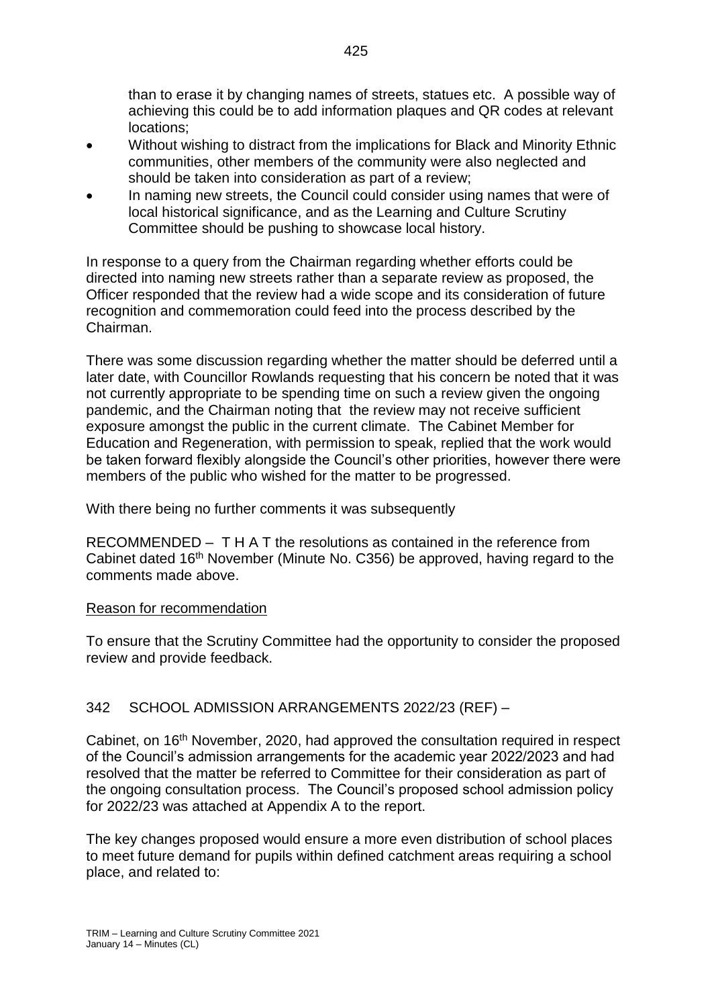than to erase it by changing names of streets, statues etc. A possible way of achieving this could be to add information plaques and QR codes at relevant locations;

- Without wishing to distract from the implications for Black and Minority Ethnic communities, other members of the community were also neglected and should be taken into consideration as part of a review;
- In naming new streets, the Council could consider using names that were of local historical significance, and as the Learning and Culture Scrutiny Committee should be pushing to showcase local history.

In response to a query from the Chairman regarding whether efforts could be directed into naming new streets rather than a separate review as proposed, the Officer responded that the review had a wide scope and its consideration of future recognition and commemoration could feed into the process described by the Chairman.

There was some discussion regarding whether the matter should be deferred until a later date, with Councillor Rowlands requesting that his concern be noted that it was not currently appropriate to be spending time on such a review given the ongoing pandemic, and the Chairman noting that the review may not receive sufficient exposure amongst the public in the current climate. The Cabinet Member for Education and Regeneration, with permission to speak, replied that the work would be taken forward flexibly alongside the Council's other priorities, however there were members of the public who wished for the matter to be progressed.

With there being no further comments it was subsequently

RECOMMENDED – T H A T the resolutions as contained in the reference from Cabinet dated 16th November (Minute No. C356) be approved, having regard to the comments made above.

# Reason for recommendation

To ensure that the Scrutiny Committee had the opportunity to consider the proposed review and provide feedback.

# 342 SCHOOL ADMISSION ARRANGEMENTS 2022/23 (REF) –

Cabinet, on 16<sup>th</sup> November, 2020, had approved the consultation required in respect of the Council's admission arrangements for the academic year 2022/2023 and had resolved that the matter be referred to Committee for their consideration as part of the ongoing consultation process. The Council's proposed school admission policy for 2022/23 was attached at Appendix A to the report.

The key changes proposed would ensure a more even distribution of school places to meet future demand for pupils within defined catchment areas requiring a school place, and related to: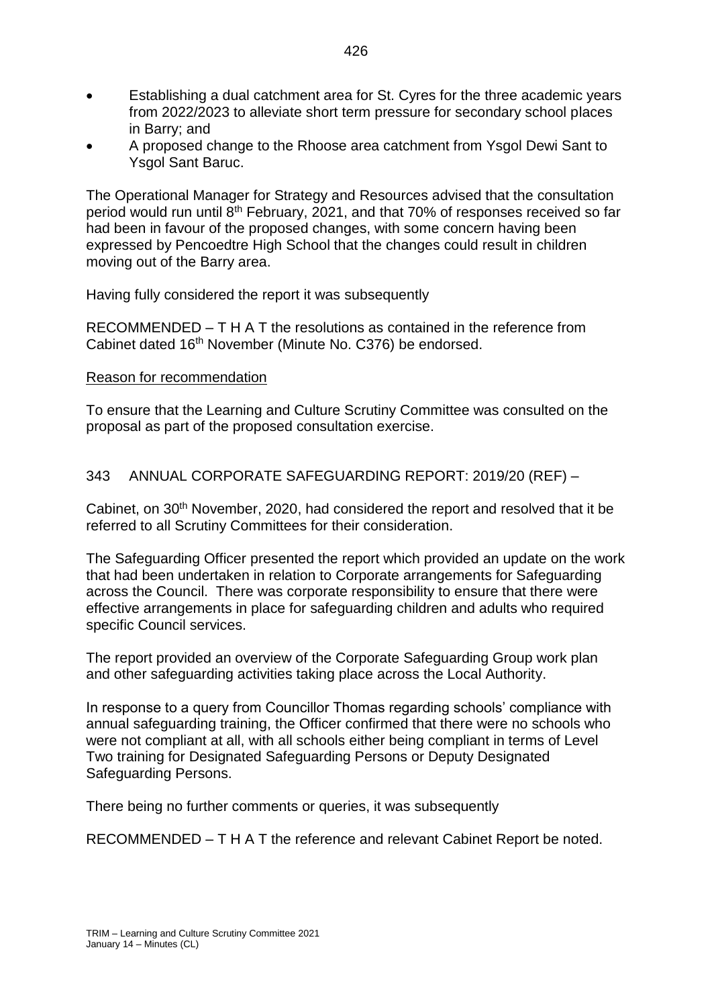- Establishing a dual catchment area for St. Cyres for the three academic years from 2022/2023 to alleviate short term pressure for secondary school places in Barry; and
- A proposed change to the Rhoose area catchment from Ysgol Dewi Sant to Ysgol Sant Baruc.

The Operational Manager for Strategy and Resources advised that the consultation period would run until 8th February, 2021, and that 70% of responses received so far had been in favour of the proposed changes, with some concern having been expressed by Pencoedtre High School that the changes could result in children moving out of the Barry area.

Having fully considered the report it was subsequently

RECOMMENDED – T H A T the resolutions as contained in the reference from Cabinet dated 16<sup>th</sup> November (Minute No. C376) be endorsed.

#### Reason for recommendation

To ensure that the Learning and Culture Scrutiny Committee was consulted on the proposal as part of the proposed consultation exercise.

### 343 ANNUAL CORPORATE SAFEGUARDING REPORT: 2019/20 (REF) –

Cabinet, on 30<sup>th</sup> November, 2020, had considered the report and resolved that it be referred to all Scrutiny Committees for their consideration.

The Safeguarding Officer presented the report which provided an update on the work that had been undertaken in relation to Corporate arrangements for Safeguarding across the Council. There was corporate responsibility to ensure that there were effective arrangements in place for safeguarding children and adults who required specific Council services.

The report provided an overview of the Corporate Safeguarding Group work plan and other safeguarding activities taking place across the Local Authority.

In response to a query from Councillor Thomas regarding schools' compliance with annual safeguarding training, the Officer confirmed that there were no schools who were not compliant at all, with all schools either being compliant in terms of Level Two training for Designated Safeguarding Persons or Deputy Designated Safeguarding Persons.

There being no further comments or queries, it was subsequently

RECOMMENDED – T H A T the reference and relevant Cabinet Report be noted.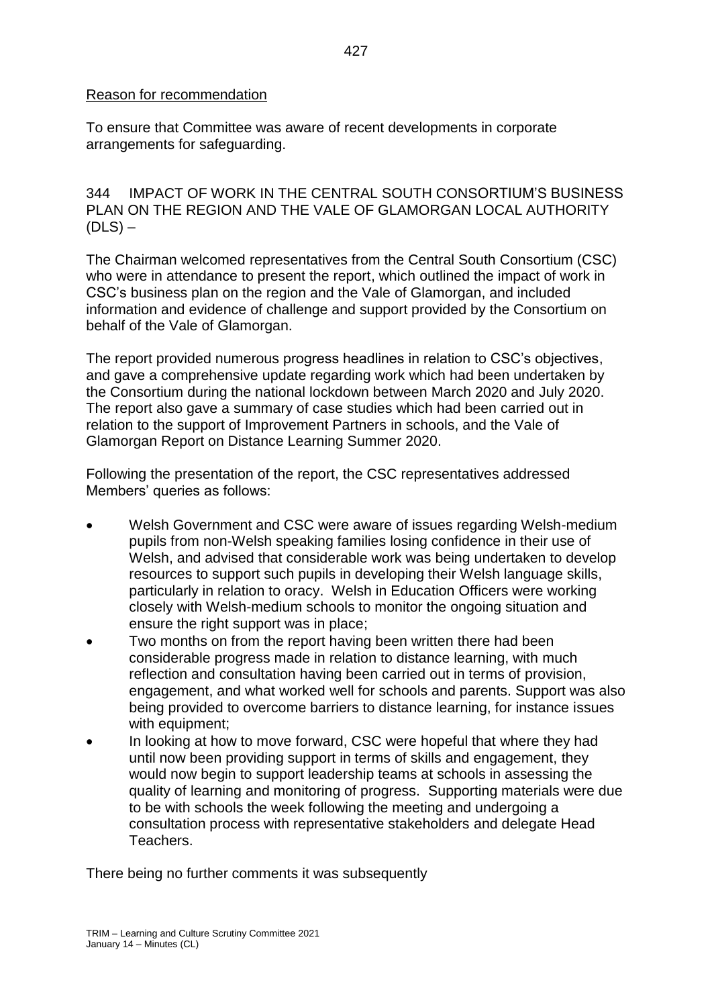### Reason for recommendation

To ensure that Committee was aware of recent developments in corporate arrangements for safeguarding.

344 IMPACT OF WORK IN THE CENTRAL SOUTH CONSORTIUM'S BUSINESS PLAN ON THE REGION AND THE VALE OF GLAMORGAN LOCAL AUTHORITY  $(DLS)$  –

The Chairman welcomed representatives from the Central South Consortium (CSC) who were in attendance to present the report, which outlined the impact of work in CSC's business plan on the region and the Vale of Glamorgan, and included information and evidence of challenge and support provided by the Consortium on behalf of the Vale of Glamorgan.

The report provided numerous progress headlines in relation to CSC's objectives, and gave a comprehensive update regarding work which had been undertaken by the Consortium during the national lockdown between March 2020 and July 2020. The report also gave a summary of case studies which had been carried out in relation to the support of Improvement Partners in schools, and the Vale of Glamorgan Report on Distance Learning Summer 2020.

Following the presentation of the report, the CSC representatives addressed Members' queries as follows:

- Welsh Government and CSC were aware of issues regarding Welsh-medium pupils from non-Welsh speaking families losing confidence in their use of Welsh, and advised that considerable work was being undertaken to develop resources to support such pupils in developing their Welsh language skills, particularly in relation to oracy. Welsh in Education Officers were working closely with Welsh-medium schools to monitor the ongoing situation and ensure the right support was in place;
- Two months on from the report having been written there had been considerable progress made in relation to distance learning, with much reflection and consultation having been carried out in terms of provision, engagement, and what worked well for schools and parents. Support was also being provided to overcome barriers to distance learning, for instance issues with equipment;
- In looking at how to move forward, CSC were hopeful that where they had until now been providing support in terms of skills and engagement, they would now begin to support leadership teams at schools in assessing the quality of learning and monitoring of progress. Supporting materials were due to be with schools the week following the meeting and undergoing a consultation process with representative stakeholders and delegate Head Teachers.

There being no further comments it was subsequently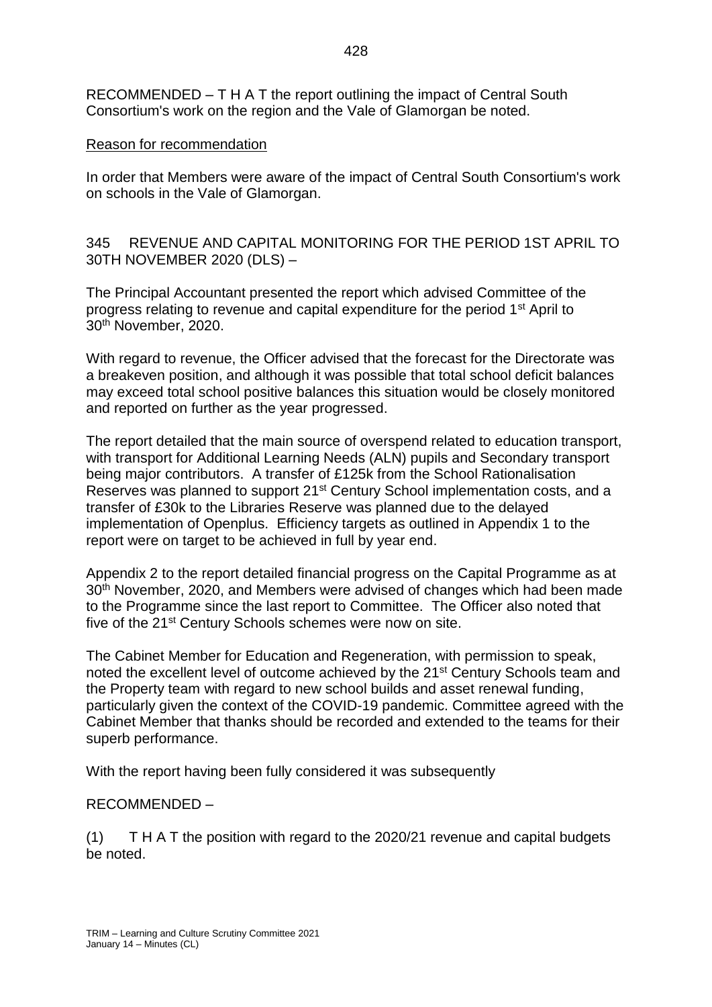RECOMMENDED – T H A T the report outlining the impact of Central South Consortium's work on the region and the Vale of Glamorgan be noted.

### Reason for recommendation

In order that Members were aware of the impact of Central South Consortium's work on schools in the Vale of Glamorgan.

345 REVENUE AND CAPITAL MONITORING FOR THE PERIOD 1ST APRIL TO 30TH NOVEMBER 2020 (DLS) –

The Principal Accountant presented the report which advised Committee of the progress relating to revenue and capital expenditure for the period 1st April to 30th November, 2020.

With regard to revenue, the Officer advised that the forecast for the Directorate was a breakeven position, and although it was possible that total school deficit balances may exceed total school positive balances this situation would be closely monitored and reported on further as the year progressed.

The report detailed that the main source of overspend related to education transport, with transport for Additional Learning Needs (ALN) pupils and Secondary transport being major contributors. A transfer of £125k from the School Rationalisation Reserves was planned to support 21<sup>st</sup> Century School implementation costs, and a transfer of £30k to the Libraries Reserve was planned due to the delayed implementation of Openplus. Efficiency targets as outlined in Appendix 1 to the report were on target to be achieved in full by year end.

Appendix 2 to the report detailed financial progress on the Capital Programme as at 30<sup>th</sup> November, 2020, and Members were advised of changes which had been made to the Programme since the last report to Committee. The Officer also noted that five of the 21<sup>st</sup> Century Schools schemes were now on site.

The Cabinet Member for Education and Regeneration, with permission to speak, noted the excellent level of outcome achieved by the 21<sup>st</sup> Century Schools team and the Property team with regard to new school builds and asset renewal funding, particularly given the context of the COVID-19 pandemic. Committee agreed with the Cabinet Member that thanks should be recorded and extended to the teams for their superb performance.

With the report having been fully considered it was subsequently

# RECOMMENDED –

(1) T H A T the position with regard to the 2020/21 revenue and capital budgets be noted.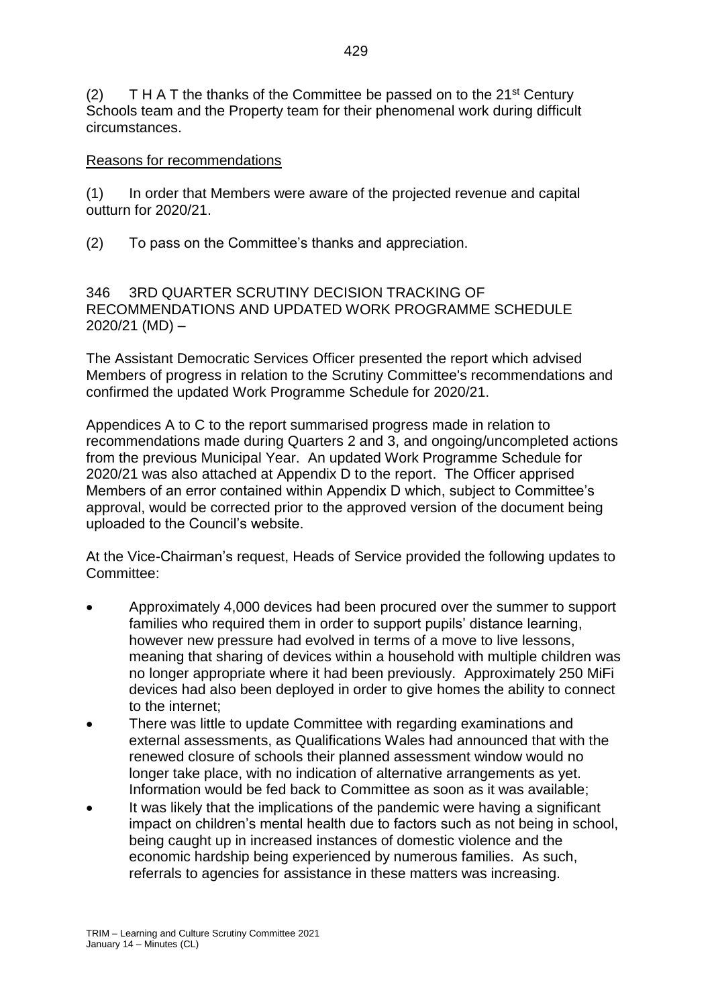(2) T H A T the thanks of the Committee be passed on to the  $21^{st}$  Century Schools team and the Property team for their phenomenal work during difficult circumstances.

## Reasons for recommendations

(1) In order that Members were aware of the projected revenue and capital outturn for 2020/21.

(2) To pass on the Committee's thanks and appreciation.

346 3RD QUARTER SCRUTINY DECISION TRACKING OF RECOMMENDATIONS AND UPDATED WORK PROGRAMME SCHEDULE 2020/21 (MD) –

The Assistant Democratic Services Officer presented the report which advised Members of progress in relation to the Scrutiny Committee's recommendations and confirmed the updated Work Programme Schedule for 2020/21.

Appendices A to C to the report summarised progress made in relation to recommendations made during Quarters 2 and 3, and ongoing/uncompleted actions from the previous Municipal Year. An updated Work Programme Schedule for 2020/21 was also attached at Appendix D to the report. The Officer apprised Members of an error contained within Appendix D which, subject to Committee's approval, would be corrected prior to the approved version of the document being uploaded to the Council's website.

At the Vice-Chairman's request, Heads of Service provided the following updates to Committee:

- Approximately 4,000 devices had been procured over the summer to support families who required them in order to support pupils' distance learning, however new pressure had evolved in terms of a move to live lessons, meaning that sharing of devices within a household with multiple children was no longer appropriate where it had been previously. Approximately 250 MiFi devices had also been deployed in order to give homes the ability to connect to the internet;
- There was little to update Committee with regarding examinations and external assessments, as Qualifications Wales had announced that with the renewed closure of schools their planned assessment window would no longer take place, with no indication of alternative arrangements as yet. Information would be fed back to Committee as soon as it was available;
- It was likely that the implications of the pandemic were having a significant impact on children's mental health due to factors such as not being in school, being caught up in increased instances of domestic violence and the economic hardship being experienced by numerous families. As such, referrals to agencies for assistance in these matters was increasing.